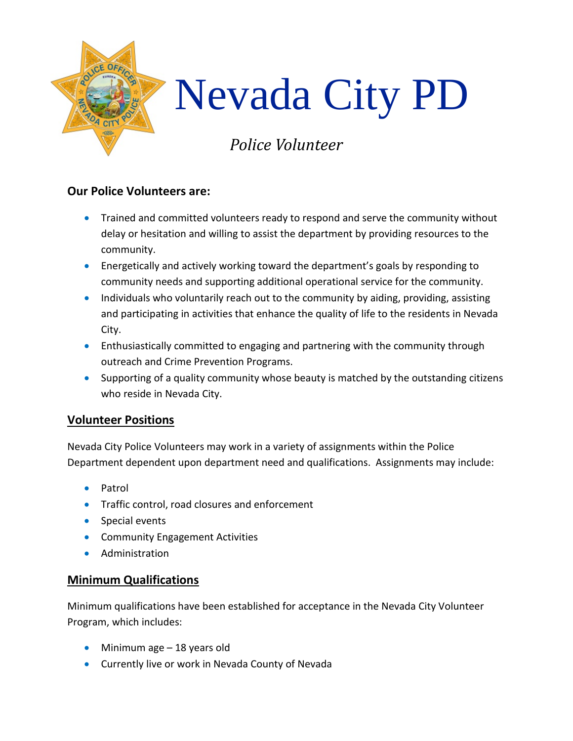

## **Our Police Volunteers are:**

- Trained and committed volunteers ready to respond and serve the community without delay or hesitation and willing to assist the department by providing resources to the community.
- Energetically and actively working toward the department's goals by responding to community needs and supporting additional operational service for the community.
- Individuals who voluntarily reach out to the community by aiding, providing, assisting and participating in activities that enhance the quality of life to the residents in Nevada City.
- Enthusiastically committed to engaging and partnering with the community through outreach and Crime Prevention Programs.
- Supporting of a quality community whose beauty is matched by the outstanding citizens who reside in Nevada City.

## **Volunteer Positions**

Nevada City Police Volunteers may work in a variety of assignments within the Police Department dependent upon department need and qualifications. Assignments may include:

- Patrol
- Traffic control, road closures and enforcement
- Special events
- Community Engagement Activities
- Administration

## **Minimum Qualifications**

Minimum qualifications have been established for acceptance in the Nevada City Volunteer Program, which includes:

- Minimum age 18 years old
- Currently live or work in Nevada County of Nevada